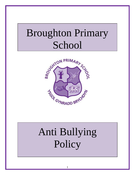## Broughton Primary School



# Anti Bullying Policy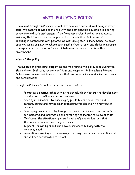## **ANTI-BULLYING POLICY**

The aim of Broughton Primary School is to develop a sense of well being in every pupil. We seek to provide each child with the best possible education in a caring, supportive and safe environment, free from oppression, humiliation and abuse, ensuring that they have every opportunity to reach their full potential. Working in partnership with parents, we wish Broughton Primary School to be an orderly, caring community, where each pupil is free to learn and thrive in a secure atmosphere. A clearly set out code of behaviour helps us to achieve this environment.

#### **Aims of the policy**

The purpose of promoting, supporting and maintaining this policy is to guarantee that children feel safe, secure, confident and happy within Broughton Primary School environment and to understand that any concerns are addressed with care and consideration.

Broughton Primary School is therefore committed to:

- Promoting a positive ethos within the school, which fosters the development of skills, self confidence and self esteem
- Sharing information by encouraging pupils to confide in staff and parents/carers and having clear procedures for dealing with matters of concern
- Developing procedures by having clear lines of communication and referral for incidents and information and referring the matter to relevant staff
- Monitoring the situation by ensuring all staff are vigilant and that the policy is reviewed on a regular basis
- Support providing pupils who have experienced bullying with the help they need
- Prevention sending out the message that negative behaviour is anti social and will not be tolerated at school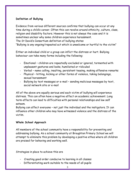#### **Definition of Bullying**

Evidence from various different sources confirms that bullying can occur at any time during a child's career. Often this can revolve around ethnicity, culture, class, religion and disability factors. However this is not always the case and it is sometimes unclear why some children experience harassment. The St David's Consortium definition of bullying states "Bullying is any ongoing/repeated act which is unwelcome or hurtful to the victim"

Either an individual child or a group can inflict the distress or hurt. Bullying behaviour can take many forms including the following:

- Emotional children are repeatedly excluded or ignored, tormented with unpleasant gestures and looks, humiliated or ridiculed
- Verbal name calling, insulting, persistent teasing, making offensive remarks
- Physical hitting, kicking or other forms of violence, taking belongings, sexual harassment
- Bullying by text messages or e-mail sending malicious messages by text, social network site or e-mail

All of the above are equally serious and each victim of bullying will experience distress. This can often have a negative effect on academic achievement. Long term effects can lead to difficulties with personal relationships and low self esteem.

Bullying can affect everyone – not just the individual and the instigators. It can influence other children who may have witnessed violence and the distress of the victim.

#### **Whole School Approach**

All members of the school community have a responsibility for preventing and addressing bullying. As a school community at Broughton Primary School we will attempt to eliminate this problem by developing a positive ethos where all children are praised for behaving and working well.

Strategies in place to achieve this are

- Creating good order conducive to learning in all classes
- Differentiating work suitable to the needs of all pupils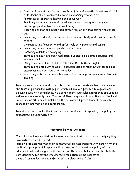- Creating interest by adopting a variety of teaching methods and meaningful assessment of achievements, always emphasising the positive
- Promoting co-operative learning and group work
- Providing social, cultural and sporting activities throughout the year to encourage pupil motivation and well being
- Ensuring children are supervised effectively at all times during the school day
- Promoting individuality, tolerance, social responsibility and consideration for others
- Communicating frequently and effectively with parents and carers
- Promoting care of younger pupils by older ones
- Fostering a sense of belonging
- Introducing adult and peer mediation, buddies, circle time activities and school council
- Using the curriculum PSHE, circle time, R.E., history, English
- Introducing anti-bullying week activities done throughout school to raise awareness and contribute to the policy
- Accessing external services to raise self esteem, group work, assertiveness training

In all classes, teachers seek to establish and develop an atmosphere of openness and trust in partnership with pupils, which will make it possible to explore and discuss issues with confidence. As a school many curricular approaches are used as well as school assembly time. The use of theatre groups, interactive cds, the local Police Liaison Officer and links with the behaviour support team offer valuable sources of information and partnership.

In addition the school will also consult pupils and parents regarding the policy and procedures included within it.

#### **Reporting Bullying Incidents**

The school will ensure that pupils know how important it is to report bullying they have witnessed or suffered.

Pupils will be assured that their concerns will be responded to with sensitivity and dealt with promptly. All reports will be taken seriously and this policy will be adhered to when dealing with the victim and those who bully or threaten to bully. Confidentiality for anyone who shares information will be respected Lines of communication and referral will be clear and efficient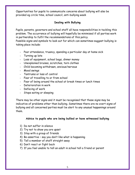Opportunities for pupils to communicate concerns about bullying will also be provided eg circle time, school council, anti-bullying week

#### **Dealing with Bullying**

Pupils, parents, governors and school staff all have responsibilities in tackling this problem. The occurrence of bullying will hopefully be minimised if all parties work in partnership to fulfil the recommendations of this policy.

Possible signs and symbols to look out for which can sometimes suggest bullying is taking place include:

- Poor attendance, truancy, spending a particular day at home sick
- Turning up late
- Loss of equipment, school bags, dinner money
- Unexplained bruises, scratches, torn clothes
- Child becoming withdrawn, anxious/nervous
- Mood swings
- Tantrums or loss of control
- Fear of travelling to or from school
- Fear of being around the school at break times or lunch times
- Deterioration in work
- Defacing of work
- Stops eating or sleeping

There may be other signs and it must be recognised that these signs may be indicative of problems other than bullying. Sometimes there are no overt signs of bullying and all concerned parties must be alert to any unusual happenings around them.

#### **Advice to pupils who are being bullied or have witnessed bullying**

- 1) Do not suffer in silence
- 2) Try not to show you are upset
- 3) Stay with a group of friends
- 4) Be assertive say you don't like what is happening
- 5) Tell a member of staff straight away
- 6) Don't react or fight back
- 7) If you feel unable to tell an adult in school tell a friend or parent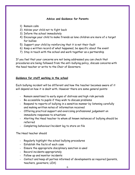#### **Advice and Guidance for Parents**

- 1) Remain calm
- 2) Advise your child not to fight back
- 3) Inform the school immediately
- 4) Encourage your child to make friends as lone children are more of a target for bullies
- 5) Support your child by reinforcing that it is not their fault
- 6) Keep a written record of what happened, be specific about the event
- 7) Stay in touch with the school and work together as a partnership

If you feel that your concerns are not being addressed you can check that procedures are being followed from the anti-bullying policy, discuss concerns with the head teacher or write to the Chair of Governors.

#### **Guidance for staff working in the school**

Each bullying incident will be different and how the teacher becomes aware of it will depend on how it is dealt with. However there are some general points:

- Remain sensitised to early signs of distress and high risk periods
- Be accessible to pupils if they wish to discuss problems
- Respond to reports of bullying in a sensitive manner by listening carefully and making written notes of information received
- Offering practical support and exercising professional judgement on immediate responses to situations
- Alerting the Head teacher to whom all known instances of bullying should be referred
- Completing behaviour/incident log to store on file

The Head teacher should

- Regularly highlight the school bullying procedures
- Establish the facts of each case
- Ensure the appropriate disciplinary sanction is used
- Record incidents appropriately
- Follow up and monitor incidents
- Contact and keep all parties informed of developments as required (parents, teachers, governors, LEA)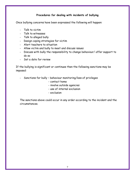#### **Procedures for dealing with incidents of bullying**

Once bullying concerns have been expressed the following will happen:

- Talk to victim
- Talk to witnesses
- Talk to alleged bully
- Design coping strategies for victim
- Alert teachers to situation
- Allow victim and bully to meet and discuss issues
- Discuss with bully the responsibility to change behaviour/ offer support to do so
- Set a date for review

If the bullying is significant or continues then the following sanctions may be imposed:

- Sanctions for bully behaviour monitoring/loss of privileges
	- contact home
	- involve outside agencies
	- use of internal exclusion
	- exclusion

The sanctions above could occur in any order according to the incident and the circumstances.